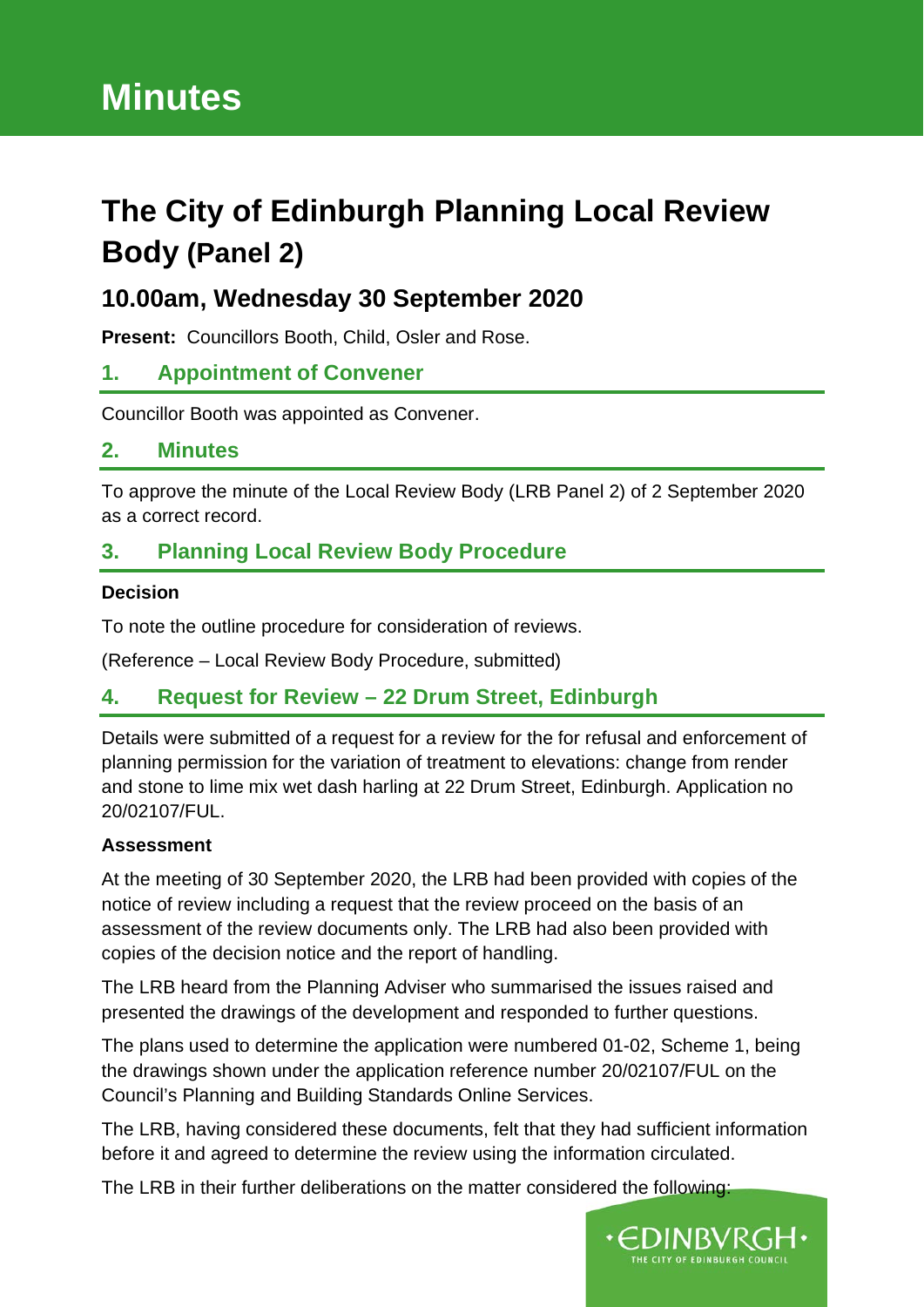# **Minutes**

# **The City of Edinburgh Planning Local Review Body (Panel 2)**

# **10.00am, Wednesday 30 September 2020**

**Present:** Councillors Booth, Child, Osler and Rose.

# **1. Appointment of Convener**

Councillor Booth was appointed as Convener.

# **2. Minutes**

To approve the minute of the Local Review Body (LRB Panel 2) of 2 September 2020 as a correct record.

# **3. Planning Local Review Body Procedure**

#### **Decision**

To note the outline procedure for consideration of reviews.

(Reference – Local Review Body Procedure, submitted)

# **4. Request for Review – 22 Drum Street, Edinburgh**

Details were submitted of a request for a review for the for refusal and enforcement of planning permission for the variation of treatment to elevations: change from render and stone to lime mix wet dash harling at 22 Drum Street, Edinburgh. Application no 20/02107/FUL.

#### **Assessment**

At the meeting of 30 September 2020, the LRB had been provided with copies of the notice of review including a request that the review proceed on the basis of an assessment of the review documents only. The LRB had also been provided with copies of the decision notice and the report of handling.

The LRB heard from the Planning Adviser who summarised the issues raised and presented the drawings of the development and responded to further questions.

The plans used to determine the application were numbered 01-02, Scheme 1, being the drawings shown under the application reference number 20/02107/FUL on the Council's Planning and Building Standards Online Services.

The LRB, having considered these documents, felt that they had sufficient information before it and agreed to determine the review using the information circulated.

The LRB in their further deliberations on the matter considered the following:

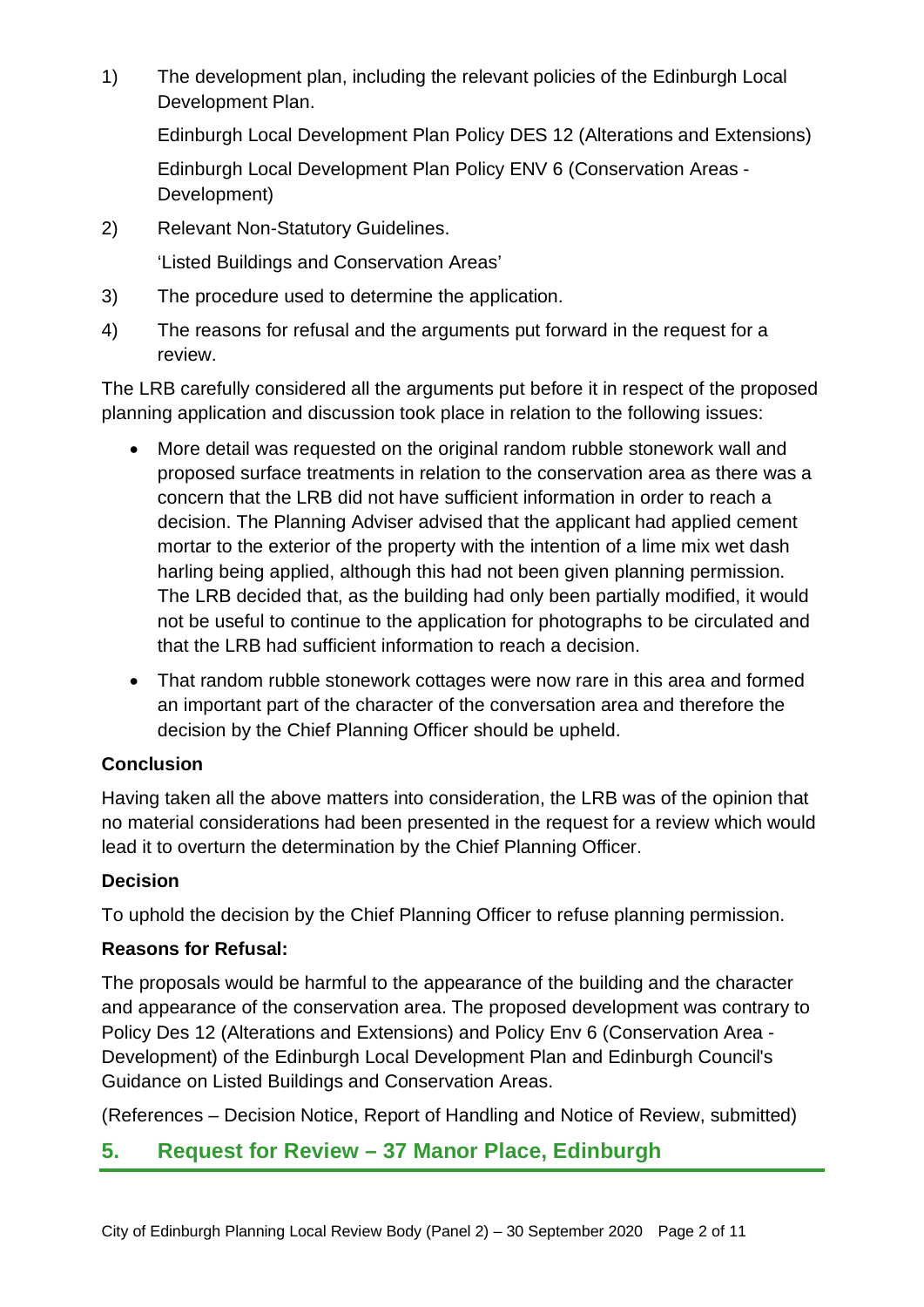1) The development plan, including the relevant policies of the Edinburgh Local Development Plan.

Edinburgh Local Development Plan Policy DES 12 (Alterations and Extensions) Edinburgh Local Development Plan Policy ENV 6 (Conservation Areas - Development)

2) Relevant Non-Statutory Guidelines.

'Listed Buildings and Conservation Areas'

- 3) The procedure used to determine the application.
- 4) The reasons for refusal and the arguments put forward in the request for a review.

The LRB carefully considered all the arguments put before it in respect of the proposed planning application and discussion took place in relation to the following issues:

- More detail was requested on the original random rubble stonework wall and proposed surface treatments in relation to the conservation area as there was a concern that the LRB did not have sufficient information in order to reach a decision. The Planning Adviser advised that the applicant had applied cement mortar to the exterior of the property with the intention of a lime mix wet dash harling being applied, although this had not been given planning permission. The LRB decided that, as the building had only been partially modified, it would not be useful to continue to the application for photographs to be circulated and that the LRB had sufficient information to reach a decision.
- That random rubble stonework cottages were now rare in this area and formed an important part of the character of the conversation area and therefore the decision by the Chief Planning Officer should be upheld.

# **Conclusion**

Having taken all the above matters into consideration, the LRB was of the opinion that no material considerations had been presented in the request for a review which would lead it to overturn the determination by the Chief Planning Officer.

#### **Decision**

To uphold the decision by the Chief Planning Officer to refuse planning permission.

#### **Reasons for Refusal:**

The proposals would be harmful to the appearance of the building and the character and appearance of the conservation area. The proposed development was contrary to Policy Des 12 (Alterations and Extensions) and Policy Env 6 (Conservation Area - Development) of the Edinburgh Local Development Plan and Edinburgh Council's Guidance on Listed Buildings and Conservation Areas.

(References – Decision Notice, Report of Handling and Notice of Review, submitted)

# **5. Request for Review – 37 Manor Place, Edinburgh**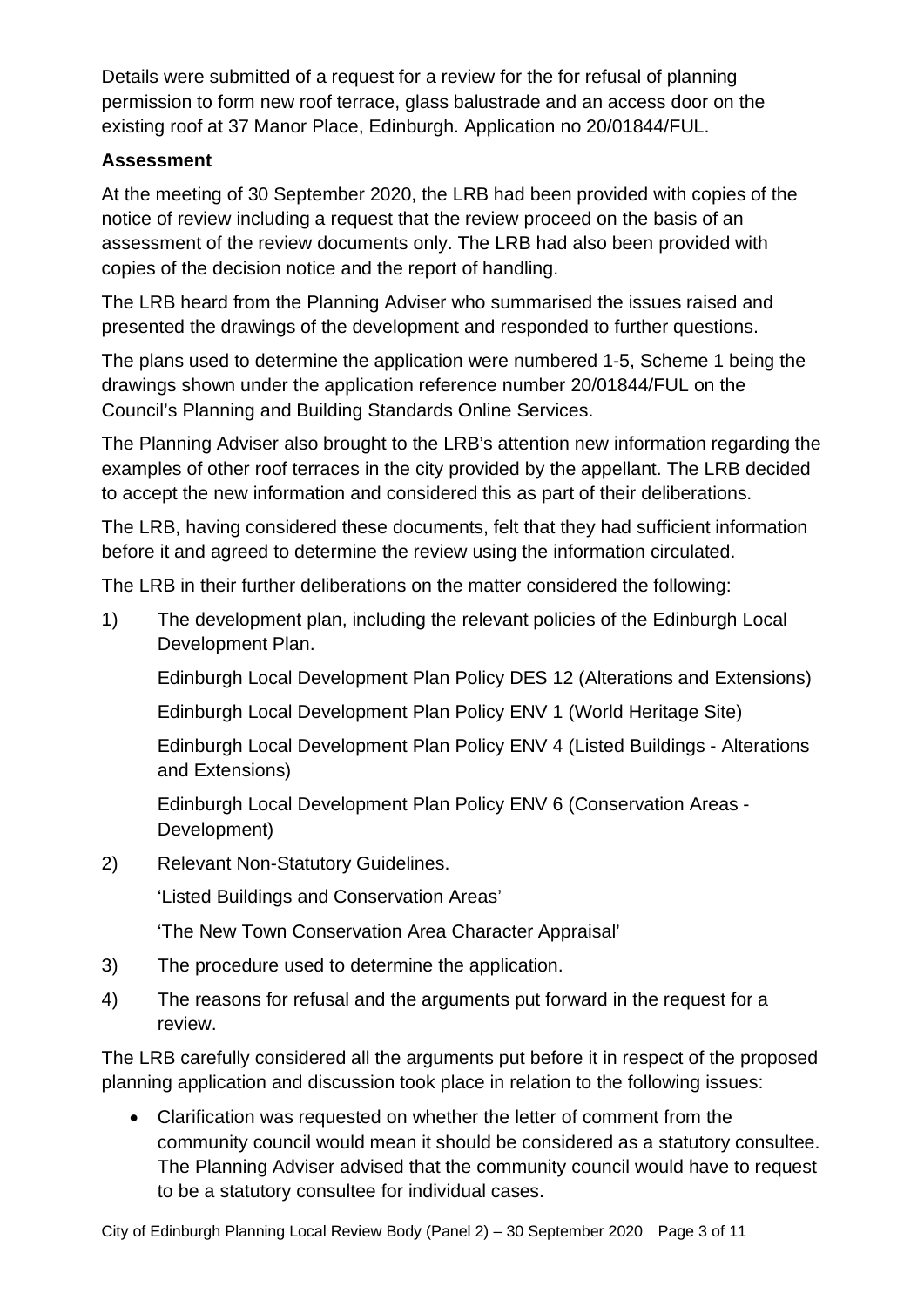Details were submitted of a request for a review for the for refusal of planning permission to form new roof terrace, glass balustrade and an access door on the existing roof at 37 Manor Place, Edinburgh. Application no 20/01844/FUL.

#### **Assessment**

At the meeting of 30 September 2020, the LRB had been provided with copies of the notice of review including a request that the review proceed on the basis of an assessment of the review documents only. The LRB had also been provided with copies of the decision notice and the report of handling.

The LRB heard from the Planning Adviser who summarised the issues raised and presented the drawings of the development and responded to further questions.

The plans used to determine the application were numbered 1-5, Scheme 1 being the drawings shown under the application reference number 20/01844/FUL on the Council's Planning and Building Standards Online Services.

The Planning Adviser also brought to the LRB's attention new information regarding the examples of other roof terraces in the city provided by the appellant. The LRB decided to accept the new information and considered this as part of their deliberations.

The LRB, having considered these documents, felt that they had sufficient information before it and agreed to determine the review using the information circulated.

The LRB in their further deliberations on the matter considered the following:

1) The development plan, including the relevant policies of the Edinburgh Local Development Plan.

Edinburgh Local Development Plan Policy DES 12 (Alterations and Extensions)

Edinburgh Local Development Plan Policy ENV 1 (World Heritage Site)

Edinburgh Local Development Plan Policy ENV 4 (Listed Buildings - Alterations and Extensions)

Edinburgh Local Development Plan Policy ENV 6 (Conservation Areas - Development)

2) Relevant Non-Statutory Guidelines.

'Listed Buildings and Conservation Areas'

'The New Town Conservation Area Character Appraisal'

- 3) The procedure used to determine the application.
- 4) The reasons for refusal and the arguments put forward in the request for a review.

The LRB carefully considered all the arguments put before it in respect of the proposed planning application and discussion took place in relation to the following issues:

• Clarification was requested on whether the letter of comment from the community council would mean it should be considered as a statutory consultee. The Planning Adviser advised that the community council would have to request to be a statutory consultee for individual cases.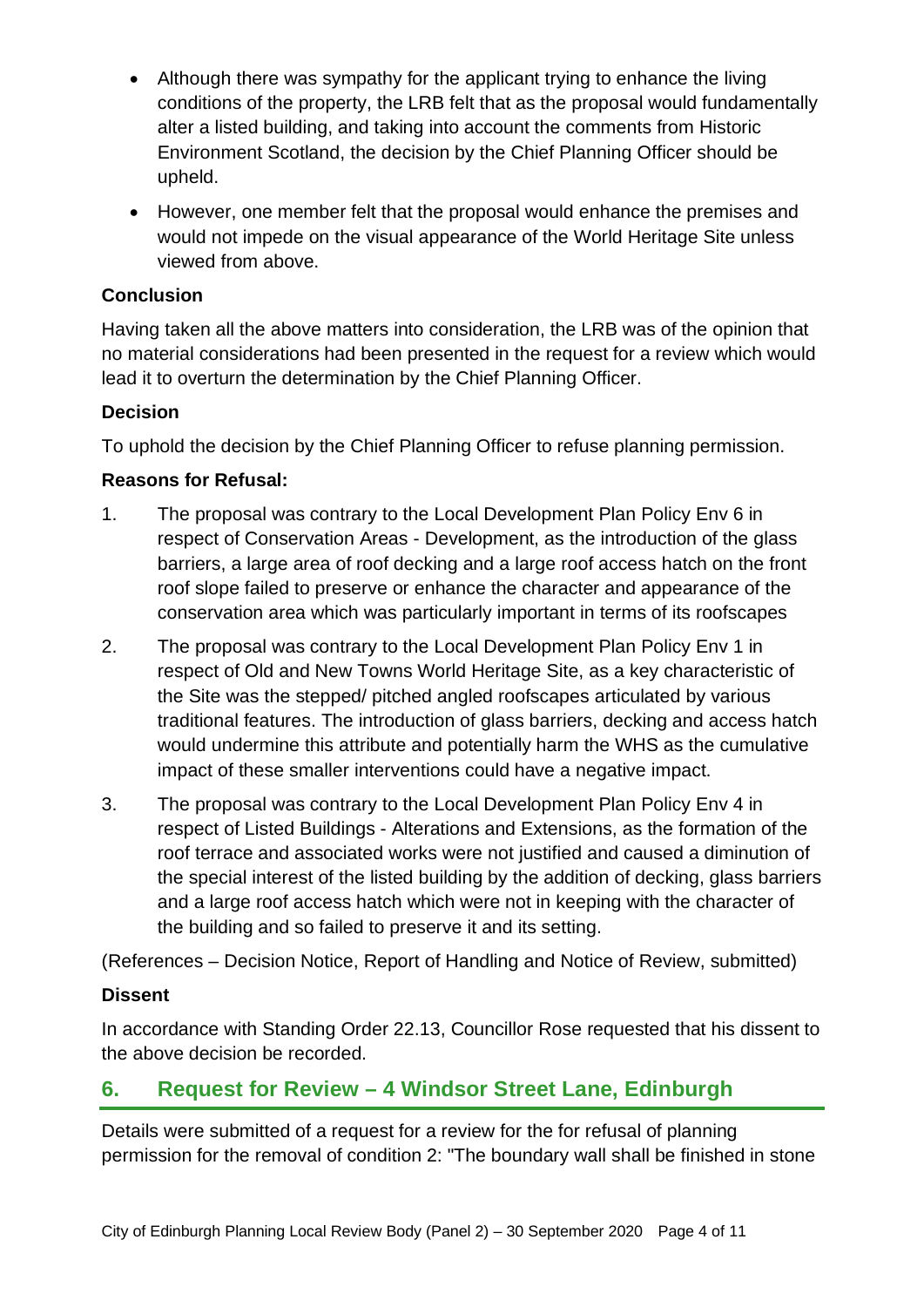- Although there was sympathy for the applicant trying to enhance the living conditions of the property, the LRB felt that as the proposal would fundamentally alter a listed building, and taking into account the comments from Historic Environment Scotland, the decision by the Chief Planning Officer should be upheld.
- However, one member felt that the proposal would enhance the premises and would not impede on the visual appearance of the World Heritage Site unless viewed from above.

#### **Conclusion**

Having taken all the above matters into consideration, the LRB was of the opinion that no material considerations had been presented in the request for a review which would lead it to overturn the determination by the Chief Planning Officer.

#### **Decision**

To uphold the decision by the Chief Planning Officer to refuse planning permission.

# **Reasons for Refusal:**

- 1. The proposal was contrary to the Local Development Plan Policy Env 6 in respect of Conservation Areas - Development, as the introduction of the glass barriers, a large area of roof decking and a large roof access hatch on the front roof slope failed to preserve or enhance the character and appearance of the conservation area which was particularly important in terms of its roofscapes
- 2. The proposal was contrary to the Local Development Plan Policy Env 1 in respect of Old and New Towns World Heritage Site, as a key characteristic of the Site was the stepped/ pitched angled roofscapes articulated by various traditional features. The introduction of glass barriers, decking and access hatch would undermine this attribute and potentially harm the WHS as the cumulative impact of these smaller interventions could have a negative impact.
- 3. The proposal was contrary to the Local Development Plan Policy Env 4 in respect of Listed Buildings - Alterations and Extensions, as the formation of the roof terrace and associated works were not justified and caused a diminution of the special interest of the listed building by the addition of decking, glass barriers and a large roof access hatch which were not in keeping with the character of the building and so failed to preserve it and its setting.

(References – Decision Notice, Report of Handling and Notice of Review, submitted)

#### **Dissent**

In accordance with Standing Order 22.13, Councillor Rose requested that his dissent to the above decision be recorded.

# **6. Request for Review – 4 Windsor Street Lane, Edinburgh**

Details were submitted of a request for a review for the for refusal of planning permission for the removal of condition 2: "The boundary wall shall be finished in stone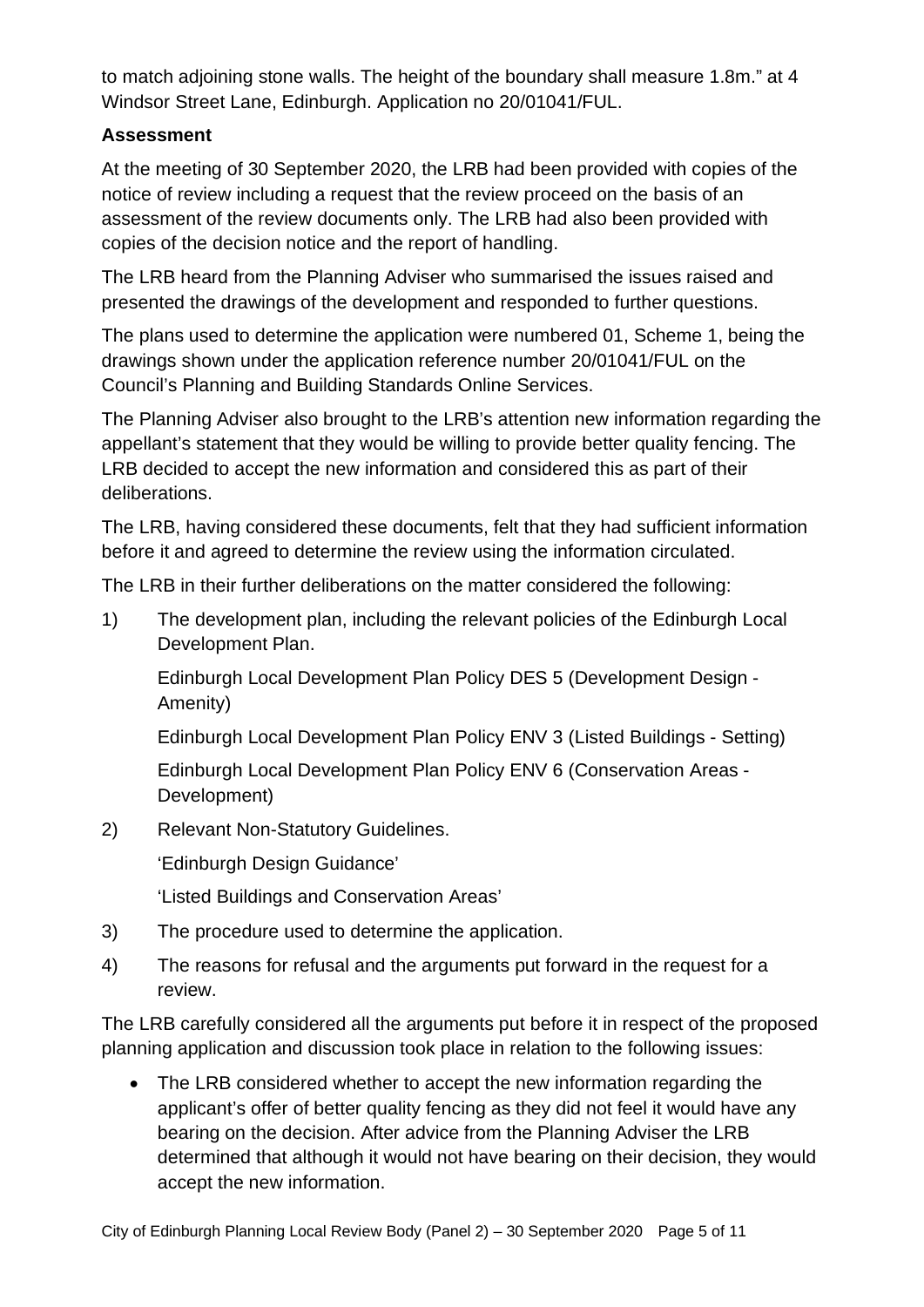to match adjoining stone walls. The height of the boundary shall measure 1.8m." at 4 Windsor Street Lane, Edinburgh. Application no 20/01041/FUL.

#### **Assessment**

At the meeting of 30 September 2020, the LRB had been provided with copies of the notice of review including a request that the review proceed on the basis of an assessment of the review documents only. The LRB had also been provided with copies of the decision notice and the report of handling.

The LRB heard from the Planning Adviser who summarised the issues raised and presented the drawings of the development and responded to further questions.

The plans used to determine the application were numbered 01, Scheme 1, being the drawings shown under the application reference number 20/01041/FUL on the Council's Planning and Building Standards Online Services.

The Planning Adviser also brought to the LRB's attention new information regarding the appellant's statement that they would be willing to provide better quality fencing. The LRB decided to accept the new information and considered this as part of their deliberations.

The LRB, having considered these documents, felt that they had sufficient information before it and agreed to determine the review using the information circulated.

The LRB in their further deliberations on the matter considered the following:

1) The development plan, including the relevant policies of the Edinburgh Local Development Plan.

Edinburgh Local Development Plan Policy DES 5 (Development Design - Amenity)

Edinburgh Local Development Plan Policy ENV 3 (Listed Buildings - Setting)

Edinburgh Local Development Plan Policy ENV 6 (Conservation Areas - Development)

2) Relevant Non-Statutory Guidelines.

'Edinburgh Design Guidance'

'Listed Buildings and Conservation Areas'

- 3) The procedure used to determine the application.
- 4) The reasons for refusal and the arguments put forward in the request for a review.

The LRB carefully considered all the arguments put before it in respect of the proposed planning application and discussion took place in relation to the following issues:

• The LRB considered whether to accept the new information regarding the applicant's offer of better quality fencing as they did not feel it would have any bearing on the decision. After advice from the Planning Adviser the LRB determined that although it would not have bearing on their decision, they would accept the new information.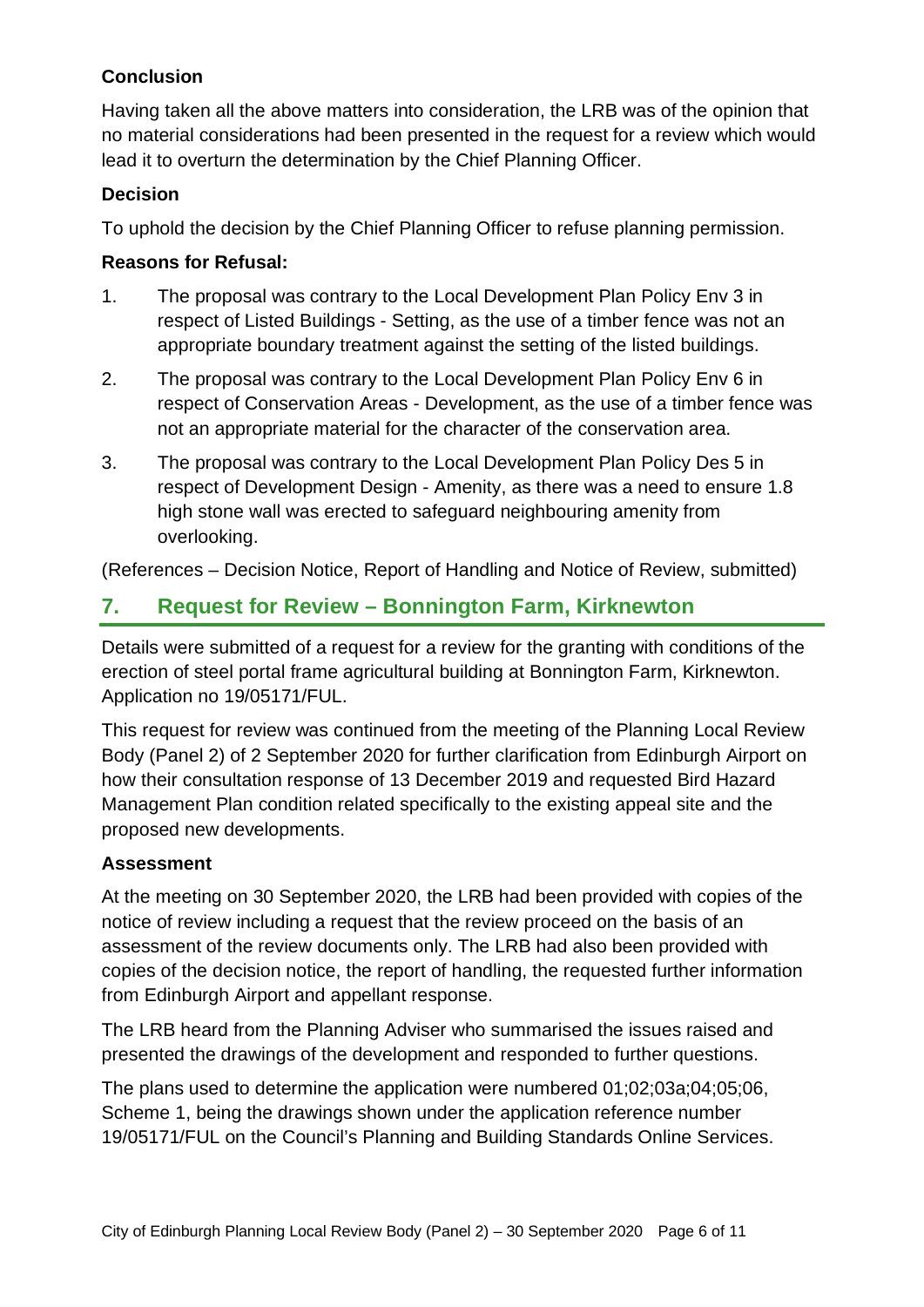# **Conclusion**

Having taken all the above matters into consideration, the LRB was of the opinion that no material considerations had been presented in the request for a review which would lead it to overturn the determination by the Chief Planning Officer.

#### **Decision**

To uphold the decision by the Chief Planning Officer to refuse planning permission.

### **Reasons for Refusal:**

- 1. The proposal was contrary to the Local Development Plan Policy Env 3 in respect of Listed Buildings - Setting, as the use of a timber fence was not an appropriate boundary treatment against the setting of the listed buildings.
- 2. The proposal was contrary to the Local Development Plan Policy Env 6 in respect of Conservation Areas - Development, as the use of a timber fence was not an appropriate material for the character of the conservation area.
- 3. The proposal was contrary to the Local Development Plan Policy Des 5 in respect of Development Design - Amenity, as there was a need to ensure 1.8 high stone wall was erected to safeguard neighbouring amenity from overlooking.

(References – Decision Notice, Report of Handling and Notice of Review, submitted)

# **7. Request for Review – Bonnington Farm, Kirknewton**

Details were submitted of a request for a review for the granting with conditions of the erection of steel portal frame agricultural building at Bonnington Farm, Kirknewton. Application no 19/05171/FUL.

This request for review was continued from the meeting of the Planning Local Review Body (Panel 2) of 2 September 2020 for further clarification from Edinburgh Airport on how their consultation response of 13 December 2019 and requested Bird Hazard Management Plan condition related specifically to the existing appeal site and the proposed new developments.

# **Assessment**

At the meeting on 30 September 2020, the LRB had been provided with copies of the notice of review including a request that the review proceed on the basis of an assessment of the review documents only. The LRB had also been provided with copies of the decision notice, the report of handling, the requested further information from Edinburgh Airport and appellant response.

The LRB heard from the Planning Adviser who summarised the issues raised and presented the drawings of the development and responded to further questions.

The plans used to determine the application were numbered 01;02;03a;04;05;06, Scheme 1, being the drawings shown under the application reference number 19/05171/FUL on the Council's Planning and Building Standards Online Services.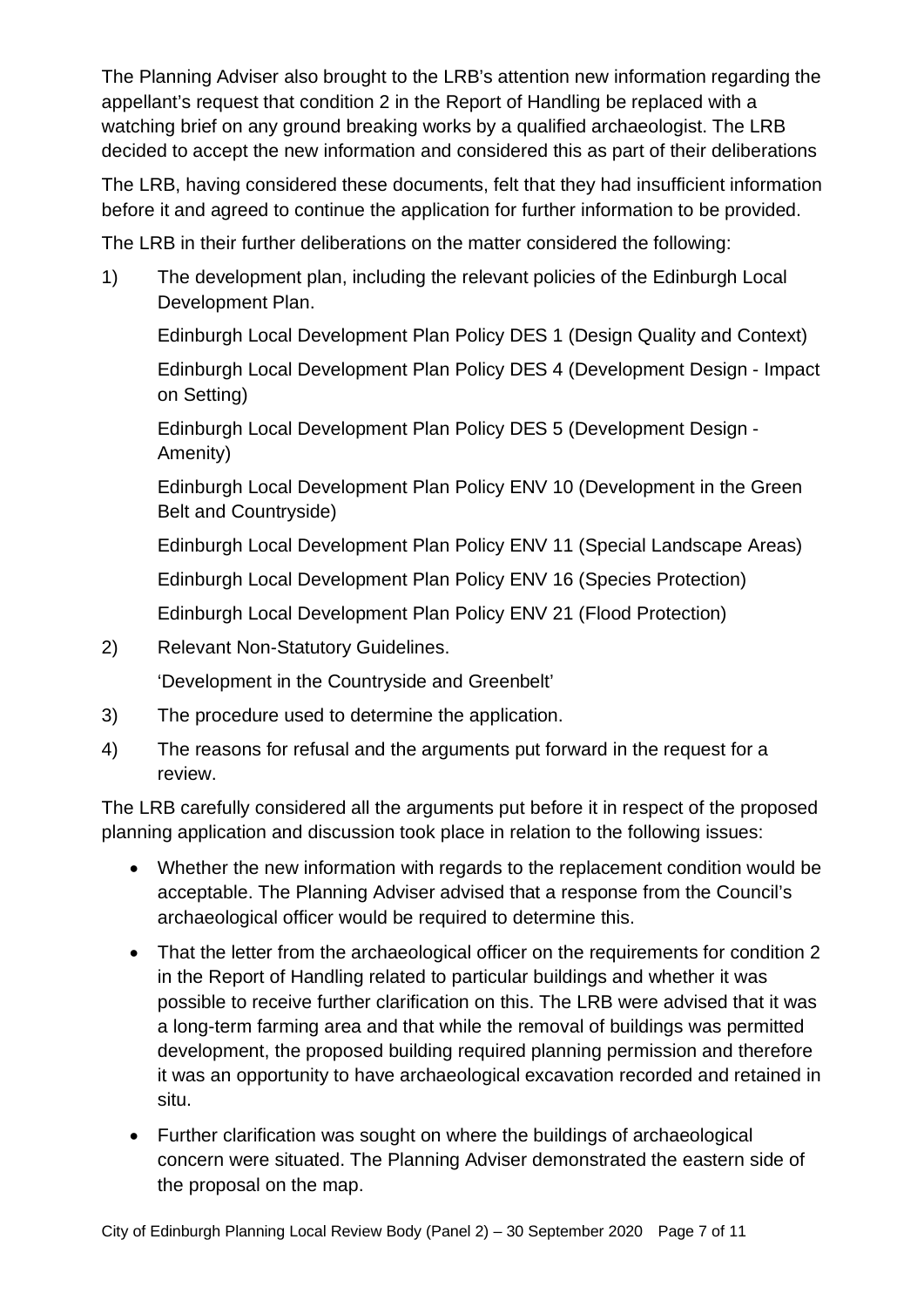The Planning Adviser also brought to the LRB's attention new information regarding the appellant's request that condition 2 in the Report of Handling be replaced with a watching brief on any ground breaking works by a qualified archaeologist. The LRB decided to accept the new information and considered this as part of their deliberations

The LRB, having considered these documents, felt that they had insufficient information before it and agreed to continue the application for further information to be provided.

The LRB in their further deliberations on the matter considered the following:

1) The development plan, including the relevant policies of the Edinburgh Local Development Plan.

Edinburgh Local Development Plan Policy DES 1 (Design Quality and Context)

Edinburgh Local Development Plan Policy DES 4 (Development Design - Impact on Setting)

Edinburgh Local Development Plan Policy DES 5 (Development Design - Amenity)

Edinburgh Local Development Plan Policy ENV 10 (Development in the Green Belt and Countryside)

Edinburgh Local Development Plan Policy ENV 11 (Special Landscape Areas)

Edinburgh Local Development Plan Policy ENV 16 (Species Protection)

Edinburgh Local Development Plan Policy ENV 21 (Flood Protection)

2) Relevant Non-Statutory Guidelines.

'Development in the Countryside and Greenbelt'

- 3) The procedure used to determine the application.
- 4) The reasons for refusal and the arguments put forward in the request for a review.

The LRB carefully considered all the arguments put before it in respect of the proposed planning application and discussion took place in relation to the following issues:

- Whether the new information with regards to the replacement condition would be acceptable. The Planning Adviser advised that a response from the Council's archaeological officer would be required to determine this.
- That the letter from the archaeological officer on the requirements for condition 2 in the Report of Handling related to particular buildings and whether it was possible to receive further clarification on this. The LRB were advised that it was a long-term farming area and that while the removal of buildings was permitted development, the proposed building required planning permission and therefore it was an opportunity to have archaeological excavation recorded and retained in situ.
- Further clarification was sought on where the buildings of archaeological concern were situated. The Planning Adviser demonstrated the eastern side of the proposal on the map.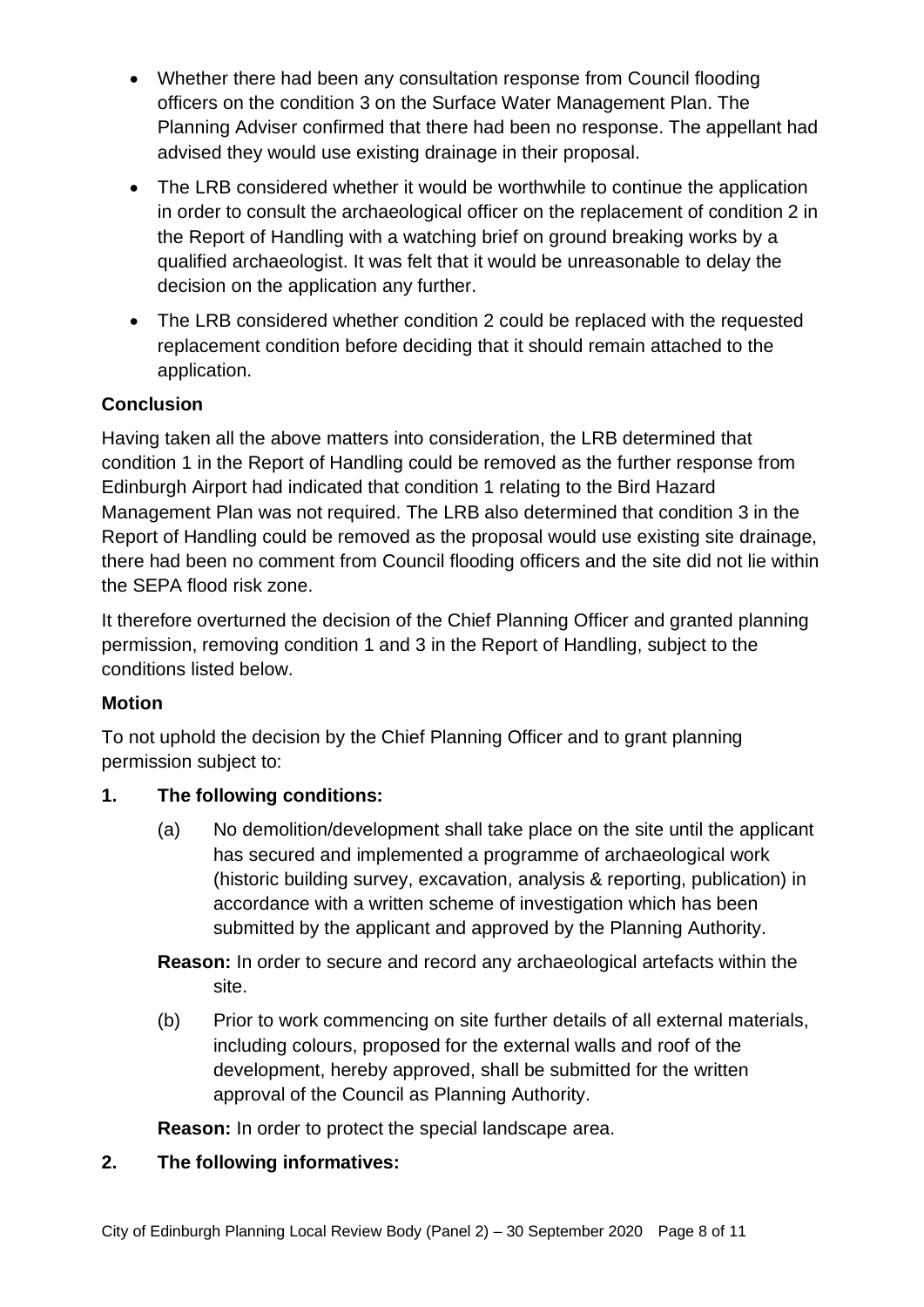- Whether there had been any consultation response from Council flooding officers on the condition 3 on the Surface Water Management Plan. The Planning Adviser confirmed that there had been no response. The appellant had advised they would use existing drainage in their proposal.
- The LRB considered whether it would be worthwhile to continue the application in order to consult the archaeological officer on the replacement of condition 2 in the Report of Handling with a watching brief on ground breaking works by a qualified archaeologist. It was felt that it would be unreasonable to delay the decision on the application any further.
- The LRB considered whether condition 2 could be replaced with the requested replacement condition before deciding that it should remain attached to the application.

# **Conclusion**

Having taken all the above matters into consideration, the LRB determined that condition 1 in the Report of Handling could be removed as the further response from Edinburgh Airport had indicated that condition 1 relating to the Bird Hazard Management Plan was not required. The LRB also determined that condition 3 in the Report of Handling could be removed as the proposal would use existing site drainage, there had been no comment from Council flooding officers and the site did not lie within the SEPA flood risk zone.

It therefore overturned the decision of the Chief Planning Officer and granted planning permission, removing condition 1 and 3 in the Report of Handling, subject to the conditions listed below.

# **Motion**

To not uphold the decision by the Chief Planning Officer and to grant planning permission subject to:

# **1. The following conditions:**

(a) No demolition/development shall take place on the site until the applicant has secured and implemented a programme of archaeological work (historic building survey, excavation, analysis & reporting, publication) in accordance with a written scheme of investigation which has been submitted by the applicant and approved by the Planning Authority.

**Reason:** In order to secure and record any archaeological artefacts within the site.

(b) Prior to work commencing on site further details of all external materials, including colours, proposed for the external walls and roof of the development, hereby approved, shall be submitted for the written approval of the Council as Planning Authority.

**Reason:** In order to protect the special landscape area.

# **2. The following informatives:**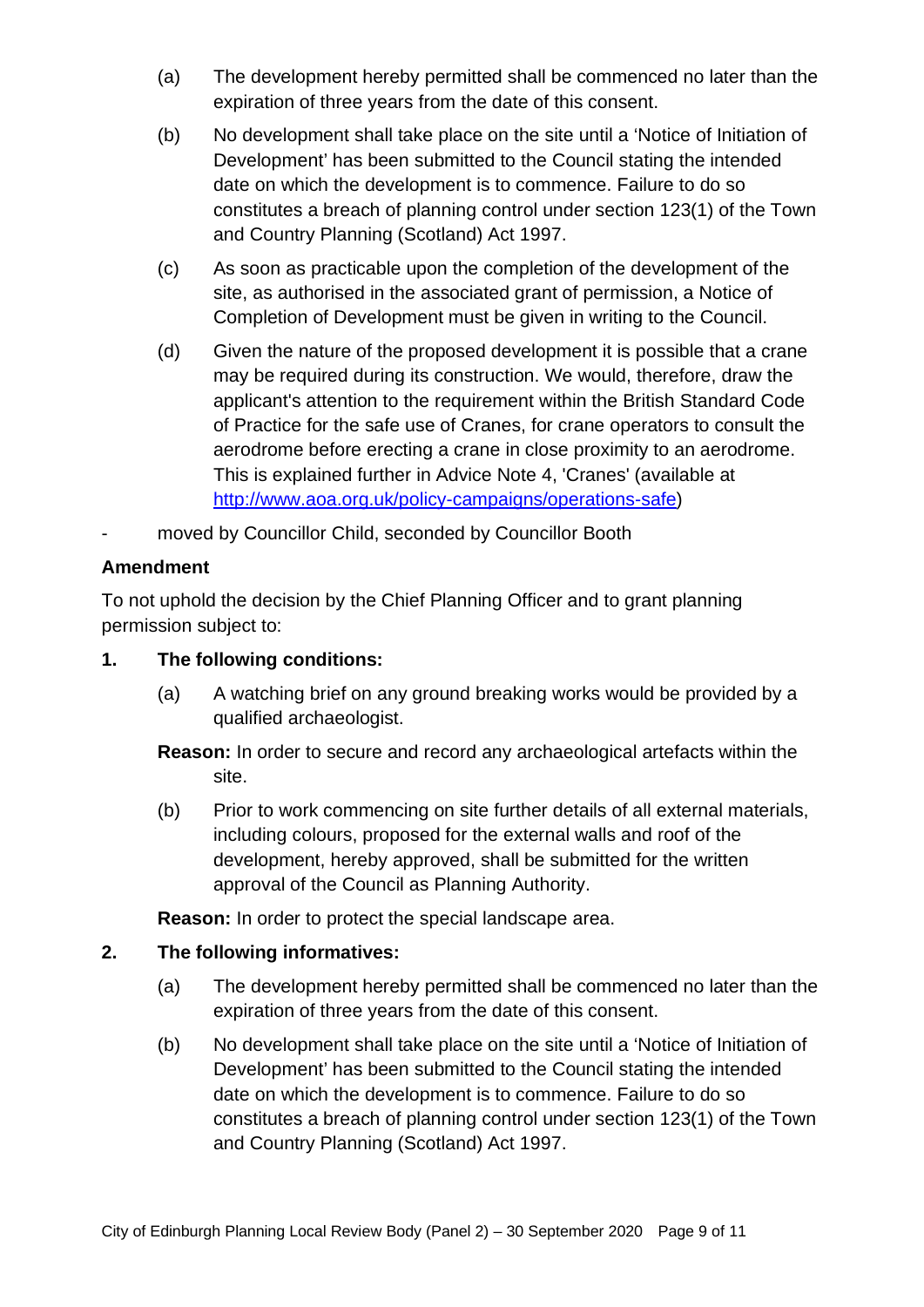- (a) The development hereby permitted shall be commenced no later than the expiration of three years from the date of this consent.
- (b) No development shall take place on the site until a 'Notice of Initiation of Development' has been submitted to the Council stating the intended date on which the development is to commence. Failure to do so constitutes a breach of planning control under section 123(1) of the Town and Country Planning (Scotland) Act 1997.
- (c) As soon as practicable upon the completion of the development of the site, as authorised in the associated grant of permission, a Notice of Completion of Development must be given in writing to the Council.
- (d) Given the nature of the proposed development it is possible that a crane may be required during its construction. We would, therefore, draw the applicant's attention to the requirement within the British Standard Code of Practice for the safe use of Cranes, for crane operators to consult the aerodrome before erecting a crane in close proximity to an aerodrome. This is explained further in Advice Note 4, 'Cranes' (available at [http://www.aoa.org.uk/policy-campaigns/operations-safe\)](http://www.aoa.org.uk/policy-campaigns/operations-safe)
- moved by Councillor Child, seconded by Councillor Booth

#### **Amendment**

To not uphold the decision by the Chief Planning Officer and to grant planning permission subject to:

#### **1. The following conditions:**

(a) A watching brief on any ground breaking works would be provided by a qualified archaeologist.

**Reason:** In order to secure and record any archaeological artefacts within the site.

(b) Prior to work commencing on site further details of all external materials, including colours, proposed for the external walls and roof of the development, hereby approved, shall be submitted for the written approval of the Council as Planning Authority.

**Reason:** In order to protect the special landscape area.

#### **2. The following informatives:**

- (a) The development hereby permitted shall be commenced no later than the expiration of three years from the date of this consent.
- (b) No development shall take place on the site until a 'Notice of Initiation of Development' has been submitted to the Council stating the intended date on which the development is to commence. Failure to do so constitutes a breach of planning control under section 123(1) of the Town and Country Planning (Scotland) Act 1997.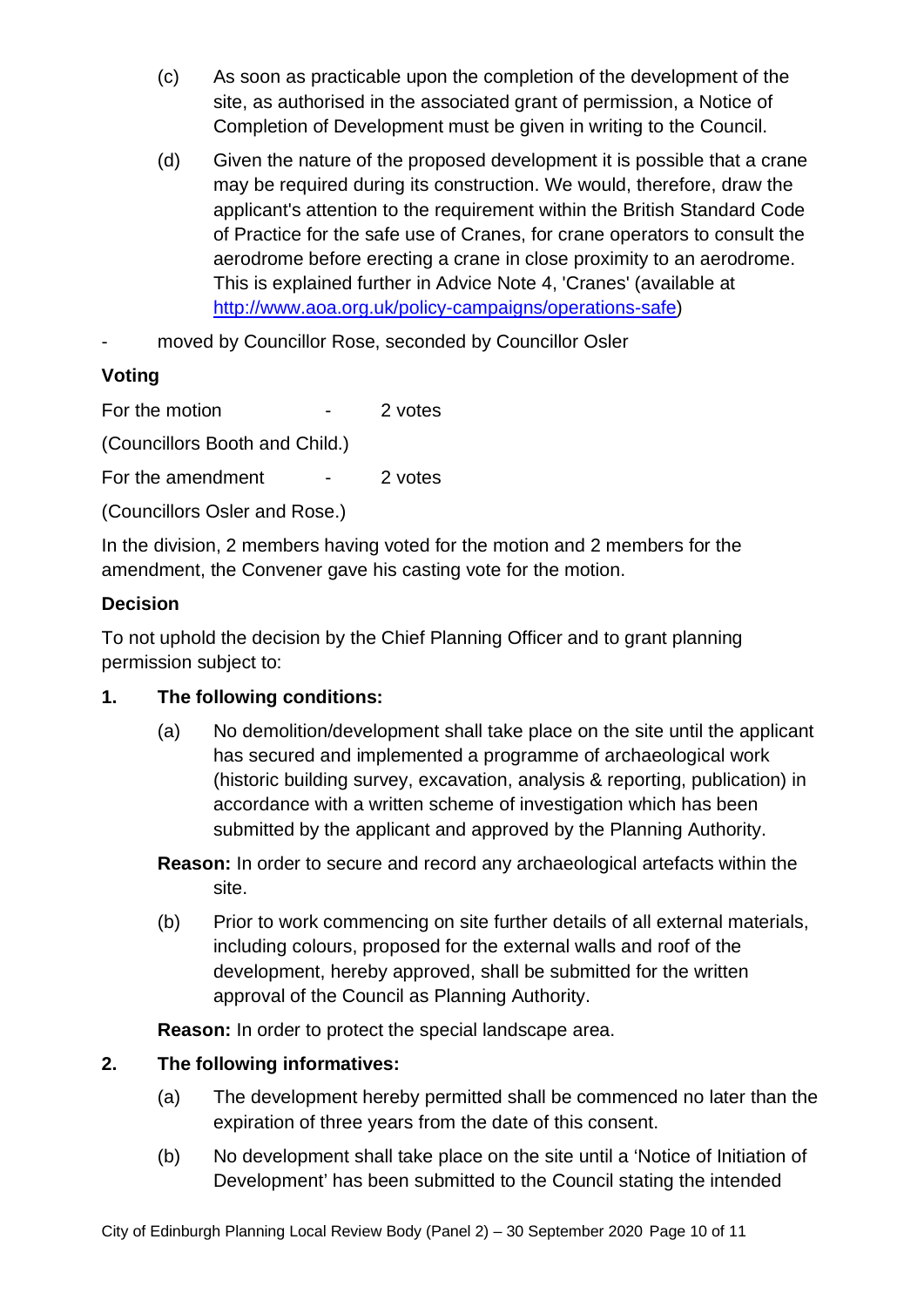- (c) As soon as practicable upon the completion of the development of the site, as authorised in the associated grant of permission, a Notice of Completion of Development must be given in writing to the Council.
- (d) Given the nature of the proposed development it is possible that a crane may be required during its construction. We would, therefore, draw the applicant's attention to the requirement within the British Standard Code of Practice for the safe use of Cranes, for crane operators to consult the aerodrome before erecting a crane in close proximity to an aerodrome. This is explained further in Advice Note 4, 'Cranes' (available at [http://www.aoa.org.uk/policy-campaigns/operations-safe\)](http://www.aoa.org.uk/policy-campaigns/operations-safe)
- moved by Councillor Rose, seconded by Councillor Osler

# **Voting**

For the motion Theorem 2 votes

(Councillors Booth and Child.)

For the amendment - 2 votes

(Councillors Osler and Rose.)

In the division, 2 members having voted for the motion and 2 members for the amendment, the Convener gave his casting vote for the motion.

#### **Decision**

To not uphold the decision by the Chief Planning Officer and to grant planning permission subject to:

#### **1. The following conditions:**

(a) No demolition/development shall take place on the site until the applicant has secured and implemented a programme of archaeological work (historic building survey, excavation, analysis & reporting, publication) in accordance with a written scheme of investigation which has been submitted by the applicant and approved by the Planning Authority.

**Reason:** In order to secure and record any archaeological artefacts within the site.

(b) Prior to work commencing on site further details of all external materials, including colours, proposed for the external walls and roof of the development, hereby approved, shall be submitted for the written approval of the Council as Planning Authority.

**Reason:** In order to protect the special landscape area.

#### **2. The following informatives:**

- (a) The development hereby permitted shall be commenced no later than the expiration of three years from the date of this consent.
- (b) No development shall take place on the site until a 'Notice of Initiation of Development' has been submitted to the Council stating the intended